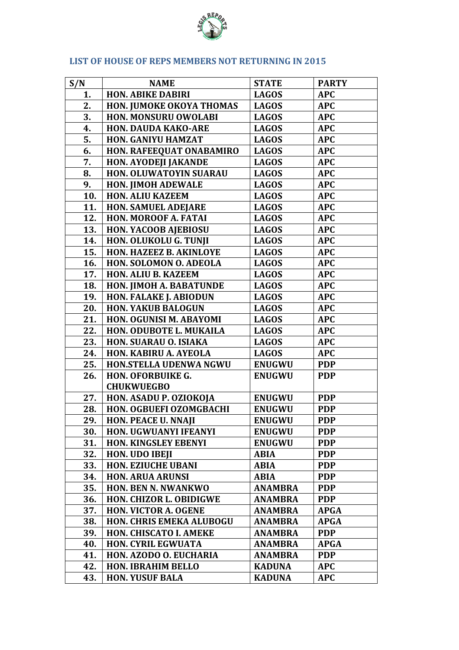

## **LIST OF HOUSE OF REPS MEMBERS NOT RETURNING IN 2015**

| S/N | <b>NAME</b>                     | <b>STATE</b>   | <b>PARTY</b> |
|-----|---------------------------------|----------------|--------------|
| 1.  | <b>HON. ABIKE DABIRI</b>        | <b>LAGOS</b>   | <b>APC</b>   |
| 2.  | HON. JUMOKE OKOYA THOMAS        | <b>LAGOS</b>   | <b>APC</b>   |
| 3.  | HON. MONSURU OWOLABI            | <b>LAGOS</b>   | <b>APC</b>   |
| 4.  | <b>HON. DAUDA KAKO-ARE</b>      | <b>LAGOS</b>   | <b>APC</b>   |
| 5.  | HON. GANIYU HAMZAT              | <b>LAGOS</b>   | <b>APC</b>   |
| 6.  | HON. RAFEEQUAT ONABAMIRO        | <b>LAGOS</b>   | <b>APC</b>   |
| 7.  | <b>HON. AYODEJI JAKANDE</b>     | <b>LAGOS</b>   | <b>APC</b>   |
| 8.  | HON. OLUWATOYIN SUARAU          | <b>LAGOS</b>   | <b>APC</b>   |
| 9.  | <b>HON. JIMOH ADEWALE</b>       | <b>LAGOS</b>   | <b>APC</b>   |
| 10. | <b>HON. ALIU KAZEEM</b>         | <b>LAGOS</b>   | <b>APC</b>   |
| 11. | <b>HON. SAMUEL ADEJARE</b>      | <b>LAGOS</b>   | <b>APC</b>   |
| 12. | HON. MOROOF A. FATAI            | <b>LAGOS</b>   | <b>APC</b>   |
| 13. | <b>HON. YACOOB AJEBIOSU</b>     | <b>LAGOS</b>   | <b>APC</b>   |
| 14. | HON. OLUKOLU G. TUNJI           | <b>LAGOS</b>   | <b>APC</b>   |
| 15. | HON. HAZEEZ B. AKINLOYE         | <b>LAGOS</b>   | <b>APC</b>   |
| 16. | <b>HON. SOLOMON O. ADEOLA</b>   | <b>LAGOS</b>   | <b>APC</b>   |
| 17. | <b>HON. ALIU B. KAZEEM</b>      | <b>LAGOS</b>   | <b>APC</b>   |
| 18. | HON. JIMOH A. BABATUNDE         | <b>LAGOS</b>   | <b>APC</b>   |
| 19. | <b>HON. FALAKE J. ABIODUN</b>   | <b>LAGOS</b>   | <b>APC</b>   |
| 20. | <b>HON. YAKUB BALOGUN</b>       | <b>LAGOS</b>   | <b>APC</b>   |
| 21. | HON. OGUNISI M. ABAYOMI         | <b>LAGOS</b>   | <b>APC</b>   |
| 22. | HON. ODUBOTE L. MUKAILA         | <b>LAGOS</b>   | <b>APC</b>   |
| 23. | <b>HON. SUARAU O. ISIAKA</b>    | <b>LAGOS</b>   | <b>APC</b>   |
| 24. | HON. KABIRU A. AYEOLA           | <b>LAGOS</b>   | <b>APC</b>   |
| 25. | <b>HON.STELLA UDENWA NGWU</b>   | <b>ENUGWU</b>  | <b>PDP</b>   |
| 26. | <b>HON. OFORBUIKE G.</b>        | <b>ENUGWU</b>  | <b>PDP</b>   |
|     | <b>CHUKWUEGBO</b>               |                |              |
| 27. | HON. ASADU P. OZIOKOJA          | <b>ENUGWU</b>  | <b>PDP</b>   |
| 28. | HON. OGBUEFI OZOMGBACHI         | <b>ENUGWU</b>  | <b>PDP</b>   |
| 29. | <b>HON. PEACE U. NNAJI</b>      | <b>ENUGWU</b>  | <b>PDP</b>   |
| 30. | <b>HON. UGWUANYI IFEANYI</b>    | <b>ENUGWU</b>  | <b>PDP</b>   |
| 31. | <b>HON. KINGSLEY EBENYI</b>     | <b>ENUGWU</b>  | <b>PDP</b>   |
| 32. | <b>HON. UDO IBEJI</b>           | <b>ABIA</b>    | <b>PDP</b>   |
| 33. | <b>HON. EZIUCHE UBANI</b>       | <b>ABIA</b>    | <b>PDP</b>   |
| 34. | <b>HON. ARUA ARUNSI</b>         | <b>ABIA</b>    | <b>PDP</b>   |
| 35. | <b>HON. BEN N. NWANKWO</b>      | <b>ANAMBRA</b> | <b>PDP</b>   |
| 36. | <b>HON. CHIZOR L. OBIDIGWE</b>  | <b>ANAMBRA</b> | <b>PDP</b>   |
| 37. | <b>HON. VICTOR A. OGENE</b>     | <b>ANAMBRA</b> | <b>APGA</b>  |
| 38. | <b>HON. CHRIS EMEKA ALUBOGU</b> | <b>ANAMBRA</b> | APGA         |
| 39. | HON. CHISCATO I. AMEKE          | <b>ANAMBRA</b> | <b>PDP</b>   |
| 40. | <b>HON. CYRIL EGWUATA</b>       | <b>ANAMBRA</b> | <b>APGA</b>  |
| 41. | HON. AZODO O. EUCHARIA          | <b>ANAMBRA</b> | <b>PDP</b>   |
| 42. | <b>HON. IBRAHIM BELLO</b>       | <b>KADUNA</b>  | <b>APC</b>   |
| 43. | <b>HON. YUSUF BALA</b>          | <b>KADUNA</b>  | <b>APC</b>   |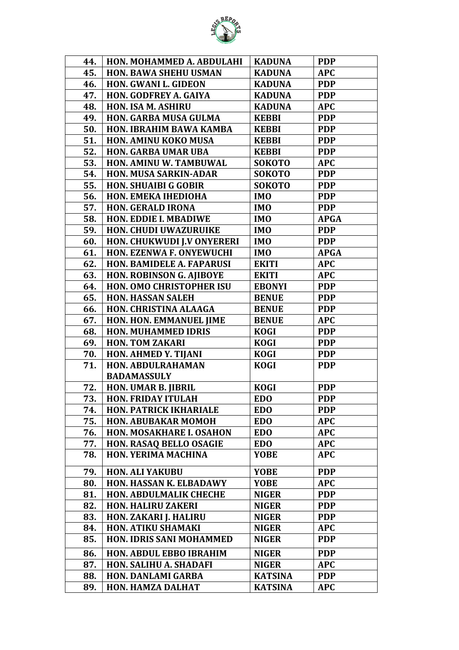

| 44. | HON. MOHAMMED A. ABDULAHI         | <b>KADUNA</b>  | <b>PDP</b>  |
|-----|-----------------------------------|----------------|-------------|
| 45. | <b>HON. BAWA SHEHU USMAN</b>      | <b>KADUNA</b>  | <b>APC</b>  |
| 46. | <b>HON. GWANI L. GIDEON</b>       | <b>KADUNA</b>  | <b>PDP</b>  |
| 47. | <b>HON. GODFREY A. GAIYA</b>      | <b>KADUNA</b>  | <b>PDP</b>  |
| 48. | <b>HON. ISA M. ASHIRU</b>         | <b>KADUNA</b>  | <b>APC</b>  |
| 49. | <b>HON. GARBA MUSA GULMA</b>      | <b>KEBBI</b>   | <b>PDP</b>  |
| 50. | <b>HON. IBRAHIM BAWA KAMBA</b>    | <b>KEBBI</b>   | <b>PDP</b>  |
| 51. | <b>HON. AMINU KOKO MUSA</b>       | <b>KEBBI</b>   | <b>PDP</b>  |
| 52. | <b>HON. GARBA UMAR UBA</b>        | <b>KEBBI</b>   | <b>PDP</b>  |
| 53. | HON. AMINU W. TAMBUWAL            | <b>SOKOTO</b>  | <b>APC</b>  |
| 54. | <b>HON. MUSA SARKIN-ADAR</b>      | <b>SOKOTO</b>  | <b>PDP</b>  |
| 55. | <b>HON. SHUAIBI G GOBIR</b>       | <b>SOKOTO</b>  | <b>PDP</b>  |
| 56. | HON. EMEKA IHEDIOHA               | <b>IMO</b>     | <b>PDP</b>  |
| 57. | <b>HON. GERALD IRONA</b>          | <b>IMO</b>     | <b>PDP</b>  |
| 58. | <b>HON. EDDIE I. MBADIWE</b>      | <b>IMO</b>     | <b>APGA</b> |
| 59. | <b>HON. CHUDI UWAZURUIKE</b>      | <b>IMO</b>     | <b>PDP</b>  |
| 60. | <b>HON. CHUKWUDI J.V ONYERERI</b> | <b>IMO</b>     | <b>PDP</b>  |
| 61. | HON. EZENWA F. ONYEWUCHI          | <b>IMO</b>     | <b>APGA</b> |
| 62. | <b>HON. BAMIDELE A. FAPARUSI</b>  | <b>EKITI</b>   | <b>APC</b>  |
| 63. | <b>HON. ROBINSON G. AJIBOYE</b>   | <b>EKITI</b>   | <b>APC</b>  |
| 64. | <b>HON. OMO CHRISTOPHER ISU</b>   | <b>EBONYI</b>  | <b>PDP</b>  |
| 65. | <b>HON. HASSAN SALEH</b>          | <b>BENUE</b>   | <b>PDP</b>  |
| 66. | HON. CHRISTINA ALAAGA             | <b>BENUE</b>   | <b>PDP</b>  |
| 67. | HON. HON. EMMANUEL JIME           | <b>BENUE</b>   | <b>APC</b>  |
| 68. | <b>HON. MUHAMMED IDRIS</b>        | <b>KOGI</b>    | <b>PDP</b>  |
| 69. | <b>HON. TOM ZAKARI</b>            | <b>KOGI</b>    | <b>PDP</b>  |
| 70. | HON. AHMED Y. TIJANI              | <b>KOGI</b>    | <b>PDP</b>  |
| 71. | HON. ABDULRAHAMAN                 | <b>KOGI</b>    | <b>PDP</b>  |
|     | <b>BADAMASSULY</b>                |                |             |
| 72. | <b>HON. UMAR B. JIBRIL</b>        | <b>KOGI</b>    | <b>PDP</b>  |
| 73. | <b>HON. FRIDAY ITULAH</b>         | <b>EDO</b>     | <b>PDP</b>  |
| 74. | <b>HON. PATRICK IKHARIALE</b>     | <b>EDO</b>     | <b>PDP</b>  |
| 75. | <b>HON. ABUBAKAR MOMOH</b>        | <b>EDO</b>     | <b>APC</b>  |
| 76. | <b>HON. MOSAKHARE I. OSAHON</b>   | <b>EDO</b>     | <b>APC</b>  |
| 77. | <b>HON. RASAQ BELLO OSAGIE</b>    | <b>EDO</b>     | <b>APC</b>  |
| 78. | <b>HON. YERIMA MACHINA</b>        | <b>YOBE</b>    | <b>APC</b>  |
| 79. | <b>HON. ALI YAKUBU</b>            | <b>YOBE</b>    | <b>PDP</b>  |
| 80. | HON. HASSAN K. ELBADAWY           | <b>YOBE</b>    | <b>APC</b>  |
| 81. | <b>HON. ABDULMALIK CHECHE</b>     | <b>NIGER</b>   | <b>PDP</b>  |
| 82. | <b>HON. HALIRU ZAKERI</b>         | <b>NIGER</b>   | <b>PDP</b>  |
| 83. | HON. ZAKARI J. HALIRU             | <b>NIGER</b>   | <b>PDP</b>  |
| 84. | <b>HON. ATIKU SHAMAKI</b>         | <b>NIGER</b>   | <b>APC</b>  |
| 85. | <b>HON. IDRIS SANI MOHAMMED</b>   | <b>NIGER</b>   | <b>PDP</b>  |
| 86. | HON. ABDUL EBBO IBRAHIM           | <b>NIGER</b>   | <b>PDP</b>  |
| 87. | HON. SALIHU A. SHADAFI            | <b>NIGER</b>   | <b>APC</b>  |
| 88. | <b>HON. DANLAMI GARBA</b>         | <b>KATSINA</b> | <b>PDP</b>  |
| 89. | HON. HAMZA DALHAT                 | <b>KATSINA</b> | <b>APC</b>  |
|     |                                   |                |             |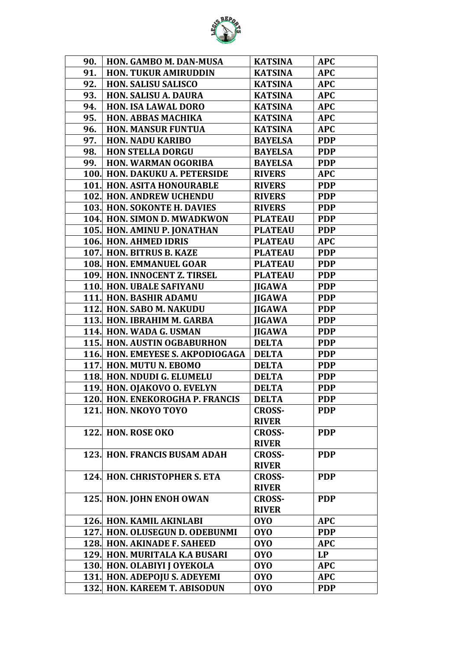

| 90.  | HON. GAMBO M. DAN-MUSA                 | <b>KATSINA</b> | <b>APC</b> |
|------|----------------------------------------|----------------|------------|
| 91.  | <b>HON. TUKUR AMIRUDDIN</b>            | <b>KATSINA</b> | <b>APC</b> |
| 92.  | <b>HON. SALISU SALISCO</b>             | <b>KATSINA</b> | <b>APC</b> |
| 93.  | <b>HON. SALISU A. DAURA</b>            | <b>KATSINA</b> | <b>APC</b> |
| 94.  | <b>HON. ISA LAWAL DORO</b>             | <b>KATSINA</b> | <b>APC</b> |
| 95.  | <b>HON. ABBAS MACHIKA</b>              | <b>KATSINA</b> | <b>APC</b> |
| 96.  | <b>HON. MANSUR FUNTUA</b>              | <b>KATSINA</b> | <b>APC</b> |
| 97.  | <b>HON. NADU KARIBO</b>                | <b>BAYELSA</b> | <b>PDP</b> |
| 98.  | <b>HON STELLA DORGU</b>                | <b>BAYELSA</b> | <b>PDP</b> |
| 99.  | <b>HON. WARMAN OGORIBA</b>             | <b>BAYELSA</b> | <b>PDP</b> |
|      | <b>100. HON. DAKUKU A. PETERSIDE</b>   | <b>RIVERS</b>  | <b>APC</b> |
|      | <b>101. HON. ASITA HONOURABLE</b>      | <b>RIVERS</b>  | <b>PDP</b> |
|      | <b>102. HON. ANDREW UCHENDU</b>        | <b>RIVERS</b>  | <b>PDP</b> |
|      | 103. HON. SOKONTE H. DAVIES            | <b>RIVERS</b>  | <b>PDP</b> |
|      | 104. HON. SIMON D. MWADKWON            | <b>PLATEAU</b> | <b>PDP</b> |
|      | 105. HON. AMINU P. JONATHAN            | <b>PLATEAU</b> | <b>PDP</b> |
|      | <b>106. HON. AHMED IDRIS</b>           | <b>PLATEAU</b> | <b>APC</b> |
|      | 107. HON. BITRUS B. KAZE               | <b>PLATEAU</b> | <b>PDP</b> |
|      | <b>108. HON. EMMANUEL GOAR</b>         | <b>PLATEAU</b> | <b>PDP</b> |
|      | 109. HON. INNOCENT Z. TIRSEL           | <b>PLATEAU</b> | <b>PDP</b> |
|      | <b>110. HON. UBALE SAFIYANU</b>        | <b>JIGAWA</b>  | <b>PDP</b> |
|      | <b>111. HON. BASHIR ADAMU</b>          | <b>JIGAWA</b>  | <b>PDP</b> |
|      | 112. HON. SABO M. NAKUDU               | <b>JIGAWA</b>  | <b>PDP</b> |
|      | 113. HON. IBRAHIM M. GARBA             | <b>JIGAWA</b>  | <b>PDP</b> |
|      | 114. HON. WADA G. USMAN                | <b>JIGAWA</b>  | <b>PDP</b> |
|      | <b>115. HON. AUSTIN OGBABURHON</b>     | <b>DELTA</b>   | <b>PDP</b> |
|      | 116. HON. EMEYESE S. AKPODIOGAGA       | <b>DELTA</b>   | <b>PDP</b> |
|      | 117. HON. MUTU N. EBOMO                | <b>DELTA</b>   | <b>PDP</b> |
|      | 118. HON. NDUDI G. ELUMELU             | <b>DELTA</b>   | <b>PDP</b> |
|      | 119. HON. OJAKOVO O. EVELYN            | <b>DELTA</b>   | <b>PDP</b> |
|      | <b>120. HON. ENEKOROGHA P. FRANCIS</b> | <b>DELTA</b>   | <b>PDP</b> |
|      | 121. HON. NKOYO TOYO                   | <b>CROSS-</b>  | <b>PDP</b> |
|      |                                        | <b>RIVER</b>   |            |
|      | 122. HON. ROSE OKO                     | <b>CROSS-</b>  | <b>PDP</b> |
|      |                                        | <b>RIVER</b>   |            |
|      | <b>123. HON. FRANCIS BUSAM ADAH</b>    | <b>CROSS-</b>  | <b>PDP</b> |
|      |                                        | <b>RIVER</b>   |            |
|      | <b>124. HON. CHRISTOPHER S. ETA</b>    | <b>CROSS-</b>  | <b>PDP</b> |
|      |                                        | <b>RIVER</b>   |            |
|      | 125. HON. JOHN ENOH OWAN               | <b>CROSS-</b>  | <b>PDP</b> |
|      |                                        | <b>RIVER</b>   |            |
|      | 126. HON. KAMIL AKINLABI               | <b>OYO</b>     | <b>APC</b> |
|      | 127. HON. OLUSEGUN D. ODEBUNMI         | <b>OYO</b>     | <b>PDP</b> |
|      | 128. HON. AKINADE F. SAHEED            | <b>OYO</b>     | <b>APC</b> |
|      | 129. HON. MURITALA K.A BUSARI          | <b>OYO</b>     | LP         |
|      | 130. HON. OLABIYI J OYEKOLA            | <b>OYO</b>     | <b>APC</b> |
|      | 131. HON. ADEPOJU S. ADEYEMI           | <b>OYO</b>     | <b>APC</b> |
| 132. | <b>HON. KAREEM T. ABISODUN</b>         | <b>OYO</b>     | <b>PDP</b> |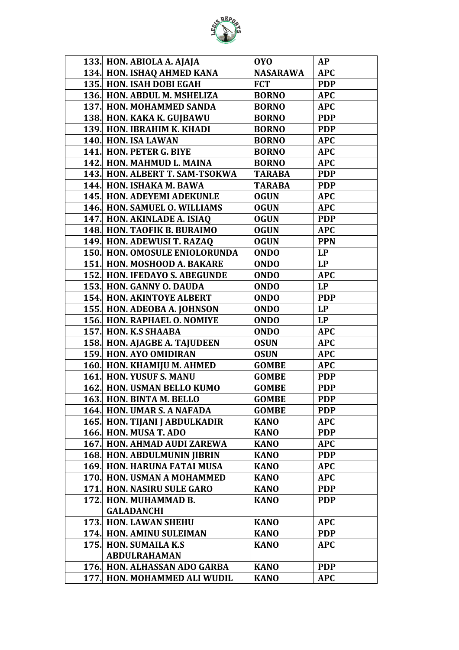

| 133. HON. ABIOLA A. AJAJA                         | <b>OYO</b>      | <b>AP</b>  |
|---------------------------------------------------|-----------------|------------|
| 134. HON. ISHAQ AHMED KANA                        | <b>NASARAWA</b> | <b>APC</b> |
| 135. HON. ISAH DOBI EGAH                          | <b>FCT</b>      | <b>PDP</b> |
| 136. HON. ABDUL M. MSHELIZA                       | <b>BORNO</b>    | <b>APC</b> |
| <b>137. HON. MOHAMMED SANDA</b>                   | <b>BORNO</b>    | <b>APC</b> |
| 138. HON. KAKA K. GUJBAWU                         | <b>BORNO</b>    | <b>PDP</b> |
| 139. HON. IBRAHIM K. KHADI                        | <b>BORNO</b>    | <b>PDP</b> |
| 140. HON. ISA LAWAN                               | <b>BORNO</b>    | <b>APC</b> |
| 141. HON. PETER G. BIYE                           | <b>BORNO</b>    | <b>APC</b> |
| 142. HON. MAHMUD L. MAINA                         | <b>BORNO</b>    | <b>APC</b> |
| 143. HON. ALBERT T. SAM-TSOKWA                    | <b>TARABA</b>   | <b>PDP</b> |
| 144. HON. ISHAKA M. BAWA                          | <b>TARABA</b>   | <b>PDP</b> |
| <b>145. HON. ADEYEMI ADEKUNLE</b>                 | <b>OGUN</b>     | <b>APC</b> |
| 146. HON. SAMUEL O. WILLIAMS                      | <b>OGUN</b>     | <b>APC</b> |
| 147. HON. AKINLADE A. ISIAQ                       | <b>OGUN</b>     | <b>PDP</b> |
| 148. HON. TAOFIK B. BURAIMO                       | <b>OGUN</b>     | <b>APC</b> |
| 149. HON. ADEWUSI T. RAZAQ                        | <b>OGUN</b>     | <b>PPN</b> |
| <b>150. HON. OMOSULE ENIOLORUNDA</b>              | <b>ONDO</b>     | LP         |
| 151. HON. MOSHOOD A. BAKARE                       | <b>ONDO</b>     | <b>LP</b>  |
| <b>152. HON. IFEDAYO S. ABEGUNDE</b>              | <b>ONDO</b>     | <b>APC</b> |
| 153. HON. GANNY O. DAUDA                          | <b>ONDO</b>     | LP         |
| <b>154. HON. AKINTOYE ALBERT</b>                  | <b>ONDO</b>     | <b>PDP</b> |
| 155. HON. ADEOBA A. JOHNSON                       | <b>ONDO</b>     | <b>LP</b>  |
| 156. HON. RAPHAEL O. NOMIYE                       | <b>ONDO</b>     | LP         |
| 157. HON. K.S SHAABA                              | <b>ONDO</b>     | <b>APC</b> |
| 158. HON. AJAGBE A. TAJUDEEN                      | <b>OSUN</b>     | <b>APC</b> |
| 159. HON. AYO OMIDIRAN                            | <b>OSUN</b>     | <b>APC</b> |
| 160. HON. KHAMIJU M. AHMED                        | <b>GOMBE</b>    | <b>APC</b> |
| 161. HON. YUSUF S. MANU                           | <b>GOMBE</b>    | <b>PDP</b> |
| 162. HON. USMAN BELLO KUMO                        | <b>GOMBE</b>    | <b>PDP</b> |
| 163. HON. BINTA M. BELLO                          | <b>GOMBE</b>    | <b>PDP</b> |
| 164. HON. UMAR S. A NAFADA                        | <b>GOMBE</b>    | <b>PDP</b> |
| 165. HON. TIJANI J ABDULKADIR                     | <b>KANO</b>     | <b>APC</b> |
| <b>166. HON. MUSA T. ADO</b>                      | <b>KANO</b>     | <b>PDP</b> |
| <b>167. HON. AHMAD AUDI ZAREWA</b>                | <b>KANO</b>     | <b>APC</b> |
| <b>168. HON. ABDULMUNIN JIBRIN</b>                | <b>KANO</b>     | <b>PDP</b> |
| <b>169. HON. HARUNA FATAI MUSA</b>                | <b>KANO</b>     | <b>APC</b> |
| 170. HON. USMAN A MOHAMMED                        | <b>KANO</b>     | <b>APC</b> |
| 171. HON. NASIRU SULE GARO                        | <b>KANO</b>     | <b>PDP</b> |
| 172. HON. MUHAMMAD B.                             | <b>KANO</b>     | <b>PDP</b> |
| <b>GALADANCHI</b>                                 |                 |            |
| <b>173. HON. LAWAN SHEHU</b>                      | <b>KANO</b>     | <b>APC</b> |
| 174. HON. AMINU SULEIMAN<br>175. HON. SUMAILA K.S | <b>KANO</b>     | <b>PDP</b> |
| <b>ABDULRAHAMAN</b>                               | <b>KANO</b>     | <b>APC</b> |
| 176. HON. ALHASSAN ADO GARBA                      | <b>KANO</b>     | <b>PDP</b> |
| 177. HON. MOHAMMED ALI WUDIL                      | <b>KANO</b>     | <b>APC</b> |
|                                                   |                 |            |